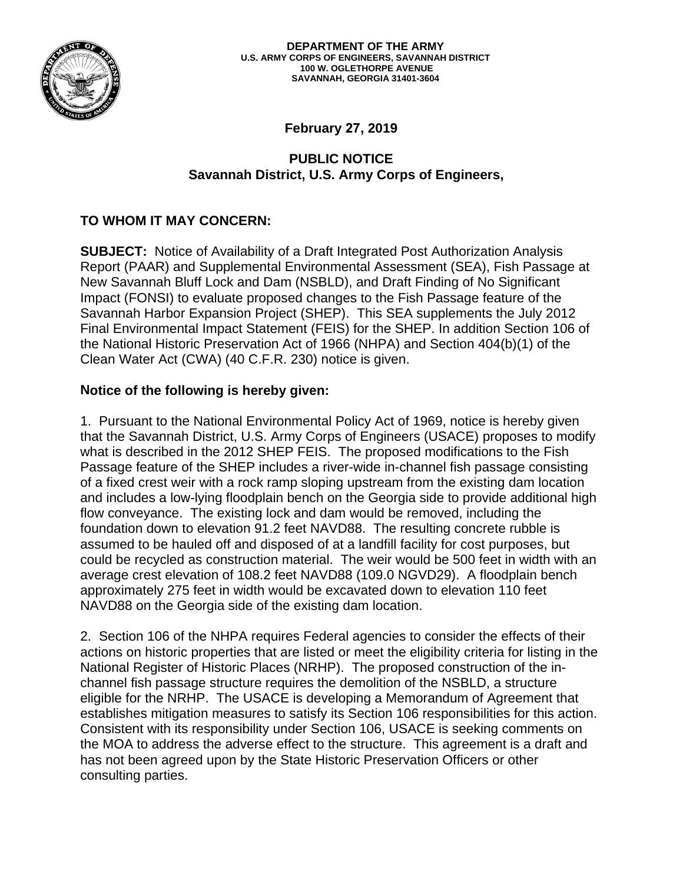

**February 27, 2019** 

## **PUBLIC NOTICE Savannah District, U.S. Army Corps of Engineers,**

# **TO WHOM IT MAY CONCERN:**

**SUBJECT:** Notice of Availability of a Draft Integrated Post Authorization Analysis Report (PAAR) and Supplemental Environmental Assessment (SEA), Fish Passage at New Savannah Bluff Lock and Dam (NSBLD), and Draft Finding of No Significant Impact (FONSI) to evaluate proposed changes to the Fish Passage feature of the Savannah Harbor Expansion Project (SHEP). This SEA supplements the July 2012 Final Environmental Impact Statement (FEIS) for the SHEP. In addition Section 106 of the National Historic Preservation Act of 1966 (NHPA) and Section 404(b)(1) of the Clean Water Act (CWA) (40 C.F.R. 230) notice is given.

### **Notice of the following is hereby given:**

1. Pursuant to the National Environmental Policy Act of 1969, notice is hereby given that the Savannah District, U.S. Army Corps of Engineers (USACE) proposes to modify what is described in the 2012 SHEP FEIS. The proposed modifications to the Fish Passage feature of the SHEP includes a river-wide in-channel fish passage consisting of a fixed crest weir with a rock ramp sloping upstream from the existing dam location and includes a low-lying floodplain bench on the Georgia side to provide additional high flow conveyance. The existing lock and dam would be removed, including the foundation down to elevation 91.2 feet NAVD88. The resulting concrete rubble is assumed to be hauled off and disposed of at a landfill facility for cost purposes, but could be recycled as construction material. The weir would be 500 feet in width with an average crest elevation of 108.2 feet NAVD88 (109.0 NGVD29). A floodplain bench approximately 275 feet in width would be excavated down to elevation 110 feet NAVD88 on the Georgia side of the existing dam location.

2. Section 106 of the NHPA requires Federal agencies to consider the effects of their actions on historic properties that are listed or meet the eligibility criteria for listing in the National Register of Historic Places (NRHP). The proposed construction of the inchannel fish passage structure requires the demolition of the NSBLD, a structure eligible for the NRHP. The USACE is developing a Memorandum of Agreement that establishes mitigation measures to satisfy its Section 106 responsibilities for this action. Consistent with its responsibility under Section 106, USACE is seeking comments on the MOA to address the adverse effect to the structure. This agreement is a draft and has not been agreed upon by the State Historic Preservation Officers or other consulting parties.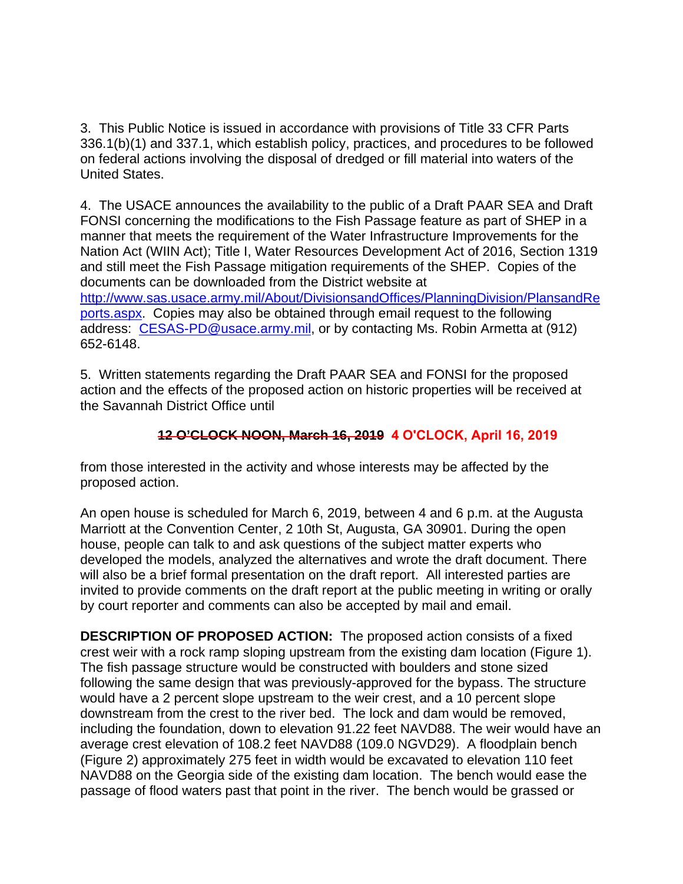3. This Public Notice is issued in accordance with provisions of Title 33 CFR Parts 336.1(b)(1) and 337.1, which establish policy, practices, and procedures to be followed on federal actions involving the disposal of dredged or fill material into waters of the United States.

4. The USACE announces the availability to the public of a Draft PAAR SEA and Draft FONSI concerning the modifications to the Fish Passage feature as part of SHEP in a manner that meets the requirement of the Water Infrastructure Improvements for the Nation Act (WIIN Act); Title I, Water Resources Development Act of 2016, Section 1319 and still meet the Fish Passage mitigation requirements of the SHEP. Copies of the documents can be downloaded from the District website at http://www.sas.usace.army.mil/About/DivisionsandOffices/PlanningDivision/PlansandRe ports.aspx. Copies may also be obtained through email request to the following address: CESAS-PD@usace.army.mil, or by contacting Ms. Robin Armetta at (912) 652-6148.

5. Written statements regarding the Draft PAAR SEA and FONSI for the proposed action and the effects of the proposed action on historic properties will be received at the Savannah District Office until

#### **12 O'CLOCK NOON, March 16, 2019 4 O'CLOCK, April 16, 2019**

from those interested in the activity and whose interests may be affected by the proposed action.

An open house is scheduled for March 6, 2019, between 4 and 6 p.m. at the Augusta Marriott at the Convention Center, 2 10th St, Augusta, GA 30901. During the open house, people can talk to and ask questions of the subject matter experts who developed the models, analyzed the alternatives and wrote the draft document. There will also be a brief formal presentation on the draft report. All interested parties are invited to provide comments on the draft report at the public meeting in writing or orally by court reporter and comments can also be accepted by mail and email.

**DESCRIPTION OF PROPOSED ACTION:** The proposed action consists of a fixed crest weir with a rock ramp sloping upstream from the existing dam location (Figure 1). The fish passage structure would be constructed with boulders and stone sized following the same design that was previously-approved for the bypass. The structure would have a 2 percent slope upstream to the weir crest, and a 10 percent slope downstream from the crest to the river bed. The lock and dam would be removed, including the foundation, down to elevation 91.22 feet NAVD88. The weir would have an average crest elevation of 108.2 feet NAVD88 (109.0 NGVD29). A floodplain bench (Figure 2) approximately 275 feet in width would be excavated to elevation 110 feet NAVD88 on the Georgia side of the existing dam location. The bench would ease the passage of flood waters past that point in the river. The bench would be grassed or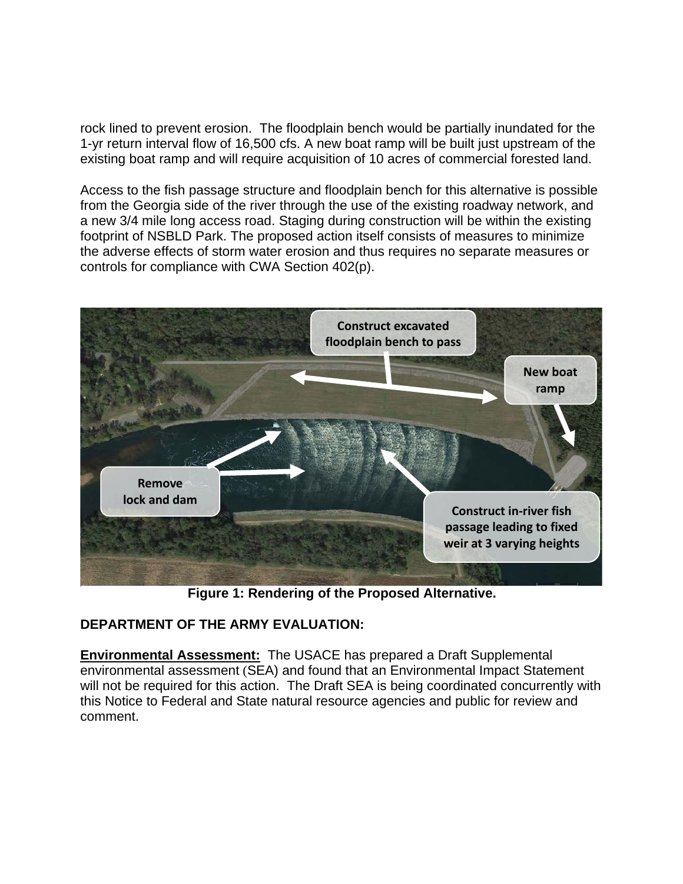rock lined to prevent erosion. The floodplain bench would be partially inundated for the 1-yr return interval flow of 16,500 cfs. A new boat ramp will be built just upstream of the existing boat ramp and will require acquisition of 10 acres of commercial forested land.

Access to the fish passage structure and floodplain bench for this alternative is possible from the Georgia side of the river through the use of the existing roadway network, and a new 3/4 mile long access road. Staging during construction will be within the existing footprint of NSBLD Park. The proposed action itself consists of measures to minimize the adverse effects of storm water erosion and thus requires no separate measures or controls for compliance with CWA Section 402(p).



**Figure 1: Rendering of the Proposed Alternative.**

### **DEPARTMENT OF THE ARMY EVALUATION:**

**Environmental Assessment:** The USACE has prepared a Draft Supplemental environmental assessment (SEA) and found that an Environmental Impact Statement will not be required for this action. The Draft SEA is being coordinated concurrently with this Notice to Federal and State natural resource agencies and public for review and comment.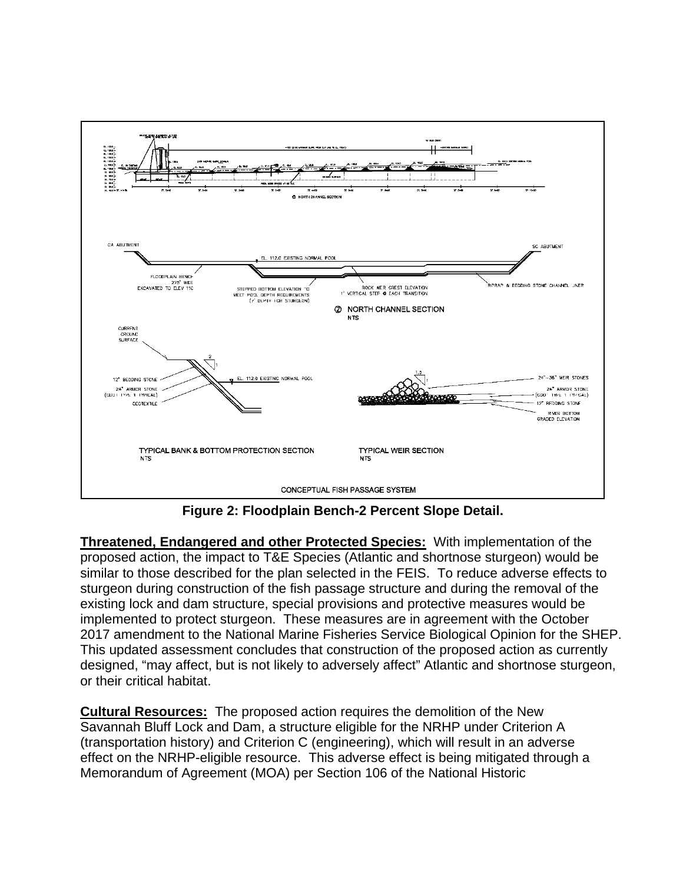

**Figure 2: Floodplain Bench-2 Percent Slope Detail.**

**Threatened, Endangered and other Protected Species:** With implementation of the proposed action, the impact to T&E Species (Atlantic and shortnose sturgeon) would be similar to those described for the plan selected in the FEIS. To reduce adverse effects to sturgeon during construction of the fish passage structure and during the removal of the existing lock and dam structure, special provisions and protective measures would be implemented to protect sturgeon. These measures are in agreement with the October 2017 amendment to the National Marine Fisheries Service Biological Opinion for the SHEP. This updated assessment concludes that construction of the proposed action as currently designed, "may affect, but is not likely to adversely affect" Atlantic and shortnose sturgeon, or their critical habitat.

**Cultural Resources:** The proposed action requires the demolition of the New Savannah Bluff Lock and Dam, a structure eligible for the NRHP under Criterion A (transportation history) and Criterion C (engineering), which will result in an adverse effect on the NRHP-eligible resource. This adverse effect is being mitigated through a Memorandum of Agreement (MOA) per Section 106 of the National Historic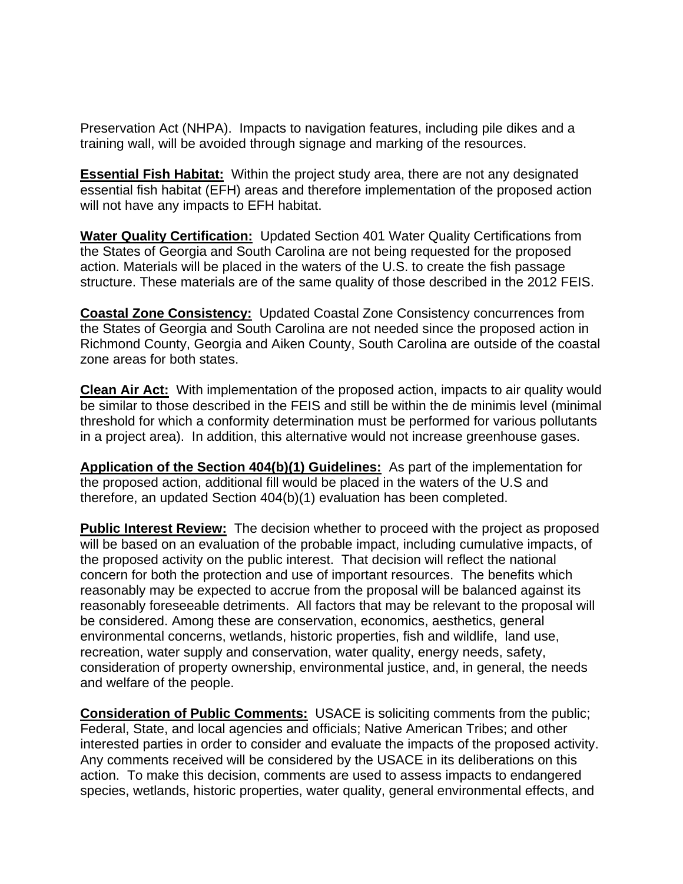Preservation Act (NHPA). Impacts to navigation features, including pile dikes and a training wall, will be avoided through signage and marking of the resources.

**Essential Fish Habitat:** Within the project study area, there are not any designated essential fish habitat (EFH) areas and therefore implementation of the proposed action will not have any impacts to EFH habitat.

**Water Quality Certification:** Updated Section 401 Water Quality Certifications from the States of Georgia and South Carolina are not being requested for the proposed action. Materials will be placed in the waters of the U.S. to create the fish passage structure. These materials are of the same quality of those described in the 2012 FEIS.

**Coastal Zone Consistency:** Updated Coastal Zone Consistency concurrences from the States of Georgia and South Carolina are not needed since the proposed action in Richmond County, Georgia and Aiken County, South Carolina are outside of the coastal zone areas for both states.

**Clean Air Act:** With implementation of the proposed action, impacts to air quality would be similar to those described in the FEIS and still be within the de minimis level (minimal threshold for which a conformity determination must be performed for various pollutants in a project area). In addition, this alternative would not increase greenhouse gases.

**Application of the Section 404(b)(1) Guidelines:** As part of the implementation for the proposed action, additional fill would be placed in the waters of the U.S and therefore, an updated Section 404(b)(1) evaluation has been completed.

**Public Interest Review:** The decision whether to proceed with the project as proposed will be based on an evaluation of the probable impact, including cumulative impacts, of the proposed activity on the public interest. That decision will reflect the national concern for both the protection and use of important resources. The benefits which reasonably may be expected to accrue from the proposal will be balanced against its reasonably foreseeable detriments. All factors that may be relevant to the proposal will be considered. Among these are conservation, economics, aesthetics, general environmental concerns, wetlands, historic properties, fish and wildlife, land use, recreation, water supply and conservation, water quality, energy needs, safety, consideration of property ownership, environmental justice, and, in general, the needs and welfare of the people.

**Consideration of Public Comments:** USACE is soliciting comments from the public; Federal, State, and local agencies and officials; Native American Tribes; and other interested parties in order to consider and evaluate the impacts of the proposed activity. Any comments received will be considered by the USACE in its deliberations on this action. To make this decision, comments are used to assess impacts to endangered species, wetlands, historic properties, water quality, general environmental effects, and